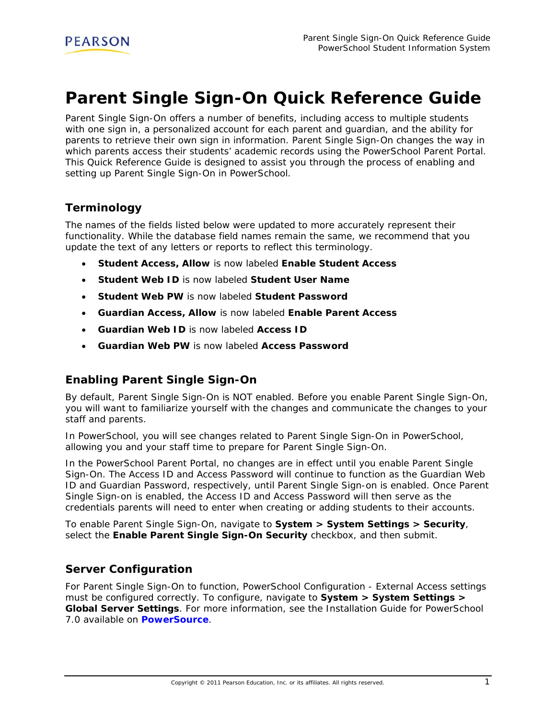# **Parent Single Sign-On Quick Reference Guide**

Parent Single Sign-On offers a number of benefits, including access to multiple students with one sign in, a personalized account for each parent and guardian, and the ability for parents to retrieve their own sign in information. Parent Single Sign-On changes the way in which parents access their students' academic records using the PowerSchool Parent Portal. This Quick Reference Guide is designed to assist you through the process of enabling and setting up Parent Single Sign-On in PowerSchool.

## **Terminology**

The names of the fields listed below were updated to more accurately represent their functionality. While the database field names remain the same, we recommend that you update the text of any letters or reports to reflect this terminology.

- **Student Access, Allow** is now labeled **Enable Student Access**
- **Student Web ID** is now labeled **Student User Name**
- **Student Web PW** is now labeled **Student Password**
- **Guardian Access, Allow** is now labeled **Enable Parent Access**
- **Guardian Web ID** is now labeled **Access ID**
- **Guardian Web PW** is now labeled **Access Password**

# **Enabling Parent Single Sign-On**

By default, Parent Single Sign-On is NOT enabled. Before you enable Parent Single Sign-On, you will want to familiarize yourself with the changes and communicate the changes to your staff and parents.

In PowerSchool, you will see changes related to Parent Single Sign-On in PowerSchool, allowing you and your staff time to prepare for Parent Single Sign-On.

In the PowerSchool Parent Portal, no changes are in effect until you enable Parent Single Sign-On. The Access ID and Access Password will continue to function as the Guardian Web ID and Guardian Password, respectively, until Parent Single Sign-on is enabled. Once Parent Single Sign-on is enabled, the Access ID and Access Password will then serve as the credentials parents will need to enter when creating or adding students to their accounts.

To enable Parent Single Sign-On, navigate to **System > System Settings > Security**, select the **Enable Parent Single Sign-On Security** checkbox, and then submit.

## **Server Configuration**

For Parent Single Sign-On to function, PowerSchool Configuration - External Access settings must be configured correctly. To configure, navigate to **System > System Settings > Global Server Settings**. For more information, see the *Installation Guide for PowerSchool 7.0* available on **[PowerSource](https://powersource.pearsonschoolsystems.com/)**.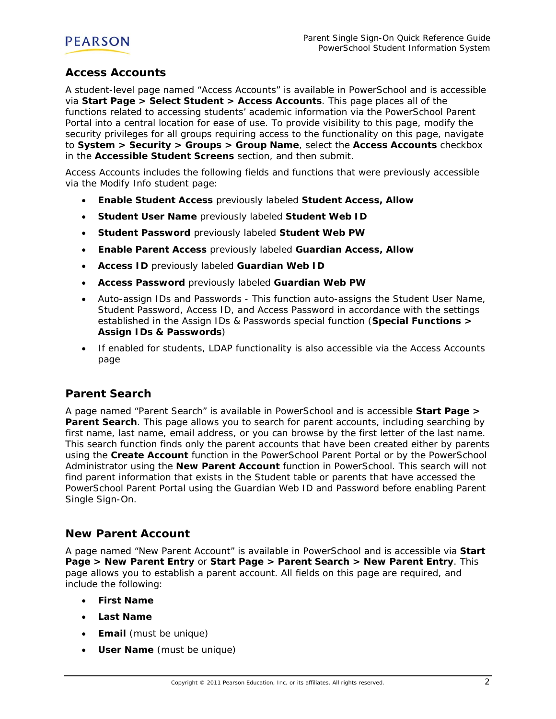

## **Access Accounts**

A student-level page named "Access Accounts" is available in PowerSchool and is accessible via **Start Page > Select Student > Access Accounts**. This page places all of the functions related to accessing students' academic information via the PowerSchool Parent Portal into a central location for ease of use. To provide visibility to this page, modify the security privileges for all groups requiring access to the functionality on this page, navigate to **System > Security > Groups > Group Name**, select the **Access Accounts** checkbox in the **Accessible Student Screens** section, and then submit.

Access Accounts includes the following fields and functions that were previously accessible via the Modify Info student page:

- **Enable Student Access** previously labeled **Student Access, Allow**
- **Student User Name** previously labeled **Student Web ID**
- **Student Password** previously labeled **Student Web PW**
- **Enable Parent Access** previously labeled **Guardian Access, Allow**
- **Access ID** previously labeled **Guardian Web ID**
- **Access Password** previously labeled **Guardian Web PW**
- Auto-assign IDs and Passwords This function auto-assigns the Student User Name, Student Password, Access ID, and Access Password in accordance with the settings established in the Assign IDs & Passwords special function (**Special Functions > Assign IDs & Passwords**)
- If enabled for students, LDAP functionality is also accessible via the Access Accounts page

## **Parent Search**

A page named "Parent Search" is available in PowerSchool and is accessible **Start Page > Parent Search**. This page allows you to search for parent accounts, including searching by first name, last name, email address, or you can browse by the first letter of the last name. This search function finds only the parent accounts that have been created either by parents using the **Create Account** function in the PowerSchool Parent Portal or by the PowerSchool Administrator using the **New Parent Account** function in PowerSchool. This search will not find parent information that exists in the Student table or parents that have accessed the PowerSchool Parent Portal using the Guardian Web ID and Password before enabling Parent Single Sign-On.

## **New Parent Account**

A page named "New Parent Account" is available in PowerSchool and is accessible via **Start Page > New Parent Entry** or **Start Page > Parent Search > New Parent Entry**. This page allows you to establish a parent account. All fields on this page are required, and include the following:

- **First Name**
- **Last Name**
- **Email** (must be unique)
- **User Name** (must be unique)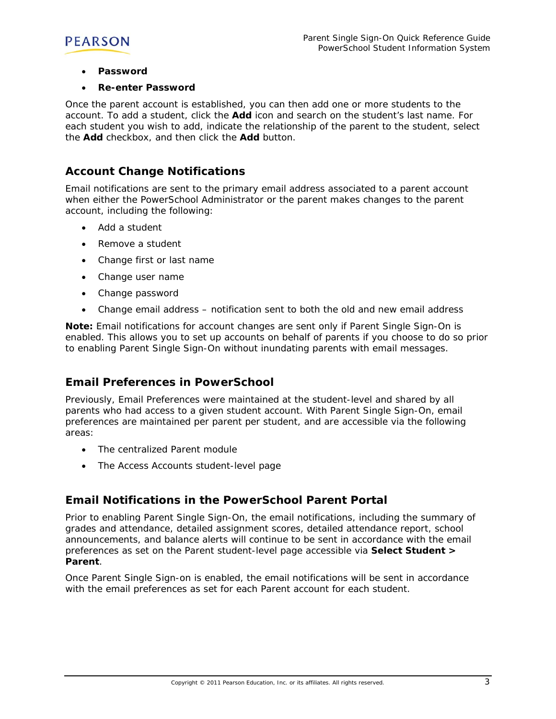

- **Password**
- **Re-enter Password**

Once the parent account is established, you can then add one or more students to the account. To add a student, click the **Add** icon and search on the student's last name. For each student you wish to add, indicate the relationship of the parent to the student, select the **Add** checkbox, and then click the **Add** button.

### **Account Change Notifications**

Email notifications are sent to the primary email address associated to a parent account when either the PowerSchool Administrator or the parent makes changes to the parent account, including the following:

- Add a student
- Remove a student
- Change first or last name
- Change user name
- Change password
- Change email address notification sent to both the old and new email address

**Note:** Email notifications for account changes are sent only if Parent Single Sign-On is enabled. This allows you to set up accounts on behalf of parents if you choose to do so prior to enabling Parent Single Sign-On without inundating parents with email messages.

#### **Email Preferences in PowerSchool**

Previously, Email Preferences were maintained at the student-level and shared by all parents who had access to a given student account. With Parent Single Sign-On, email preferences are maintained per parent per student, and are accessible via the following areas:

- The centralized Parent module
- The Access Accounts student-level page

## **Email Notifications in the PowerSchool Parent Portal**

Prior to enabling Parent Single Sign-On, the email notifications, including the summary of grades and attendance, detailed assignment scores, detailed attendance report, school announcements, and balance alerts will continue to be sent in accordance with the email preferences as set on the Parent student-level page accessible via **Select Student > Parent**.

Once Parent Single Sign-on is enabled, the email notifications will be sent in accordance with the email preferences as set for each Parent account for each student.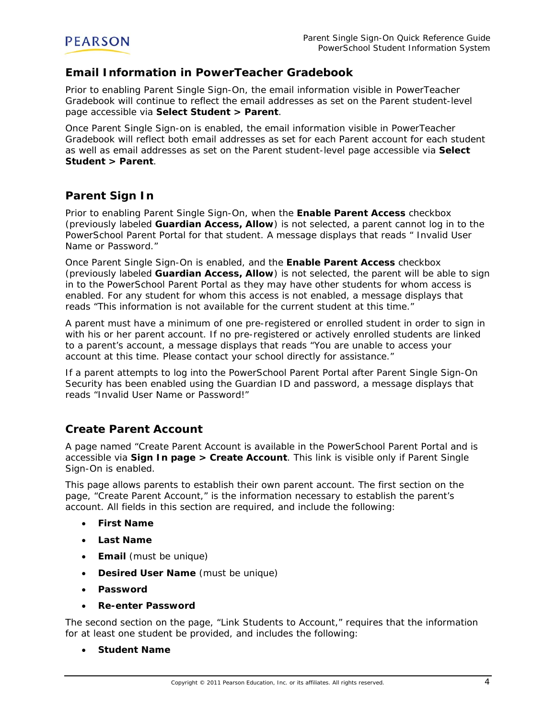

## **Email Information in PowerTeacher Gradebook**

Prior to enabling Parent Single Sign-On, the email information visible in PowerTeacher Gradebook will continue to reflect the email addresses as set on the Parent student-level page accessible via **Select Student > Parent**.

Once Parent Single Sign-on is enabled, the email information visible in PowerTeacher Gradebook will reflect both email addresses as set for each Parent account for each student as well as email addresses as set on the Parent student-level page accessible via **Select Student > Parent**.

## **Parent Sign In**

Prior to enabling Parent Single Sign-On, when the **Enable Parent Access** checkbox (previously labeled **Guardian Access, Allow**) is not selected, a parent cannot log in to the PowerSchool Parent Portal for that student. A message displays that reads " Invalid User Name or Password."

Once Parent Single Sign-On is enabled, and the **Enable Parent Access** checkbox (previously labeled **Guardian Access, Allow**) is not selected, the parent will be able to sign in to the PowerSchool Parent Portal as they may have other students for whom access is enabled. For any student for whom this access is not enabled, a message displays that reads "This information is not available for the current student at this time."

A parent must have a minimum of one pre-registered or enrolled student in order to sign in with his or her parent account. If no pre-registered or actively enrolled students are linked to a parent's account, a message displays that reads "You are unable to access your account at this time. Please contact your school directly for assistance."

If a parent attempts to log into the PowerSchool Parent Portal after Parent Single Sign-On Security has been enabled using the Guardian ID and password, a message displays that reads "Invalid User Name or Password!"

# **Create Parent Account**

A page named "Create Parent Account is available in the PowerSchool Parent Portal and is accessible via **Sign In page > Create Account**. This link is visible only if Parent Single Sign-On is enabled.

This page allows parents to establish their own parent account. The first section on the page, "Create Parent Account," is the information necessary to establish the parent's account. All fields in this section are required, and include the following:

- **First Name**
- **Last Name**
- **Email** (must be unique)
- **Desired User Name** (must be unique)
- **Password**
- **Re-enter Password**

The second section on the page, "Link Students to Account," requires that the information for at least one student be provided, and includes the following:

**Student Name**